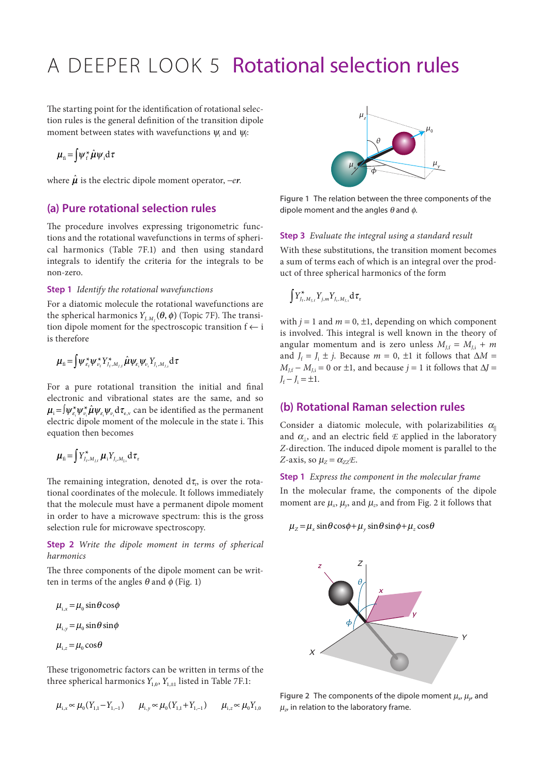# A DEEPER LOOK 5 Rotational selection rules

The starting point for the identification of rotational selection rules is the general definition of the transition dipole moment between states with wavefunctions  $\psi_i$  and  $\psi_f$ :

$$
\mu_{\rm fi} = \int \psi_{\rm f}^* \hat{\mu} \psi_{\rm i} \mathrm{d} \tau
$$

where  $\hat{\mu}$  is the electric dipole moment operator,  $-er$ .

## **(a) Pure rotational selection rules**

The procedure involves expressing trigonometric functions and the rotational wavefunctions in terms of spherical harmonics (Table 7F.1) and then using standard integrals to identify the criteria for the integrals to be non-zero.

## **Step 1** *Identify the rotational wavefunctions*

For a diatomic molecule the rotational wavefunctions are the spherical harmonics  $Y_{J,M}(\theta, \phi)$  (Topic 7F). The transition dipole moment for the spectroscopic transition f ← i is therefore

$$
\boldsymbol{\mu}_{\text{fi}} = \int \psi_{\varepsilon_{\text{f}}}^* \psi_{\nu_{\text{f}}}^* Y_{J_{\text{f}},M_{\text{f},\text{f}}}^* \hat{\boldsymbol{\mu}} \psi_{\varepsilon_{\text{i}}} \psi_{\nu_{\text{i}}} Y_{J_{\text{i}},M_{\text{f},\text{i}}} d\tau
$$

For a pure rotational transition the initial and final electronic and vibrational states are the same, and so  $\mu_i = \int \psi_s^* \psi_u^* \hat{\mu} \psi_s \psi_u d\tau_s$  can be identified as the permanent electric dipole moment of the molecule in the state i. This equation then becomes

$$
\boldsymbol{\mu}_{\text{fi}} = \int Y_{J_{\text{f}},M_{\text{f,f}}}^* \boldsymbol{\mu}_{\text{i}} Y_{J_{\text{i}},M_{\text{f,i}}} d\tau_{\text{r}}
$$

The remaining integration, denoted  $d\tau$ , is over the rotational coordinates of the molecule. It follows immediately that the molecule must have a permanent dipole moment in order to have a microwave spectrum: this is the gross selection rule for microwave spectroscopy.

**Step 2** *Write the dipole moment in terms of spherical harmonics*

The three components of the dipole moment can be written in terms of the angles  $\theta$  and  $\phi$  (Fig. 1)

 $\mu_{i,r} = \mu_0 \sin \theta \cos \phi$  $\mu_{i,y} = \mu_0 \sin \theta \sin \phi$  $\mu_{i,z} = \mu_0 \cos \theta$ 

These trigonometric factors can be written in terms of the three spherical harmonics  $Y_{1,0}$ ,  $Y_{1,+1}$  listed in Table 7F.1:

$$
\mu_{i,x} \sim \mu_0(Y_{1,1} - Y_{1,-1}) \qquad \mu_{i,y} \sim \mu_0(Y_{1,1} + Y_{1,-1}) \qquad \mu_{i,z} \sim \mu_0 Y_{1,0}
$$



**Figure 1** The relation between the three components of the dipole moment and the angles  $\theta$  and  $\phi$ .

## **Step 3** *Evaluate the integral using a standard result*

With these substitutions, the transition moment becomes a sum of terms each of which is an integral over the product of three spherical harmonics of the form

$$
\int Y_{J_{\mathrm{f}},M_{\mathrm{J},\mathrm{f}}}^\star Y_{j,m} Y_{J_{\mathrm{i}},M_{\mathrm{J},\mathrm{i}}} \mathrm{d} \tau_{\mathrm{r}}
$$

with  $j = 1$  and  $m = 0, \pm 1$ , depending on which component is involved. This integral is well known in the theory of angular momentum and is zero unless  $M_{1,i} = M_{1,i} + m$ and  $J_f = J_i \pm j$ . Because  $m = 0, \pm 1$  it follows that  $\Delta M =$  $M_{Lf} - M_{Li} = 0$  or  $\pm 1$ , and because  $j = 1$  it follows that  $\Delta J =$  $J_f - J_i = \pm 1.$ 

## **(b) Rotational Raman selection rules**

Consider a diatomic molecule, with polarizabilities  $\alpha_{\parallel}$ and  $\alpha_{\parallel}$ , and an electric field  $\mathcal E$  applied in the laboratory *Z*-direction. The induced dipole moment is parallel to the *Z*-axis, so  $\mu_{z} = \alpha_{z} \infty E$ .

### **Step 1** *Express the component in the molecular frame*

In the molecular frame, the components of the dipole moment are  $\mu_x$ ,  $\mu_y$ , and  $\mu_z$ , and from Fig. 2 it follows that

#### $\mu_{z} = \mu_{x} \sin \theta \cos \phi + \mu_{y} \sin \theta \sin \phi + \mu_{z} \cos \theta$



**Figure 2** The components of the dipole moment  $\mu_{x}$ ,  $\mu_{y}$  and  $\mu_{z}$ , in relation to the laboratory frame.